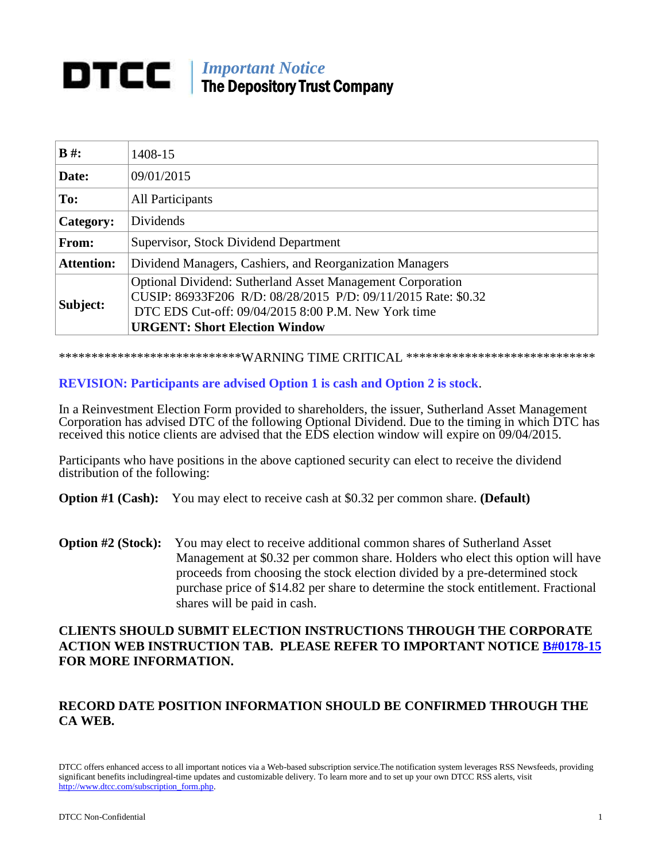# *Important Notice* The Depository Trust Company

| $B \#$ :          | 1408-15                                                                                                                                                                                                                           |
|-------------------|-----------------------------------------------------------------------------------------------------------------------------------------------------------------------------------------------------------------------------------|
| Date:             | 09/01/2015                                                                                                                                                                                                                        |
| To:               | <b>All Participants</b>                                                                                                                                                                                                           |
| Category:         | Dividends                                                                                                                                                                                                                         |
| From:             | <b>Supervisor, Stock Dividend Department</b>                                                                                                                                                                                      |
| <b>Attention:</b> | Dividend Managers, Cashiers, and Reorganization Managers                                                                                                                                                                          |
| Subject:          | <b>Optional Dividend: Sutherland Asset Management Corporation</b><br>CUSIP: 86933F206 R/D: 08/28/2015 P/D: 09/11/2015 Rate: \$0.32<br>DTC EDS Cut-off: 09/04/2015 8:00 P.M. New York time<br><b>URGENT: Short Election Window</b> |

\*\*\*\*\*\*\*\*\*\*\*\*\*\*\*\*\*\*\*\*\*\*\*\*\*\*\*\*\*WARNING TIME CRITICAL \*\*\*\*\*\*\*\*\*\*\*\*\*\*\*\*\*\*\*\*\*\*\*\*\*\*\*\*\*

#### **REVISION: Participants are advised Option 1 is cash and Option 2 is stock**.

In a Reinvestment Election Form provided to shareholders, the issuer, Sutherland Asset Management Corporation has advised DTC of the following Optional Dividend. Due to the timing in which DTC has received this notice clients are advised that the EDS election window will expire on 09/04/2015.

Participants who have positions in the above captioned security can elect to receive the dividend distribution of the following:

**Option #1 (Cash):** You may elect to receive cash at \$0.32 per common share. **(Default)**

**Option #2 (Stock):** You may elect to receive additional common shares of Sutherland Asset Management at \$0.32 per common share. Holders who elect this option will have proceeds from choosing the stock election divided by a pre-determined stock purchase price of \$14.82 per share to determine the stock entitlement. Fractional shares will be paid in cash.

### **CLIENTS SHOULD SUBMIT ELECTION INSTRUCTIONS THROUGH THE CORPORATE ACTION WEB INSTRUCTION TAB. PLEASE REFER TO IMPORTANT NOTICE [B#0178-15](http://www.dtcc.com/~/media/Files/pdf/2015/2/27/0178-15.pdf) FOR MORE INFORMATION.**

## **RECORD DATE POSITION INFORMATION SHOULD BE CONFIRMED THROUGH THE CA WEB.**

DTCC offers enhanced access to all important notices via a Web-based subscription service.The notification system leverages RSS Newsfeeds, providing significant benefits includingreal-time updates and customizable delivery. To learn more and to set up your own DTCC RSS alerts, visit [http://www.dtcc.com/subscription\\_form.php.](http://www.dtcc.com/subscription_form.php)